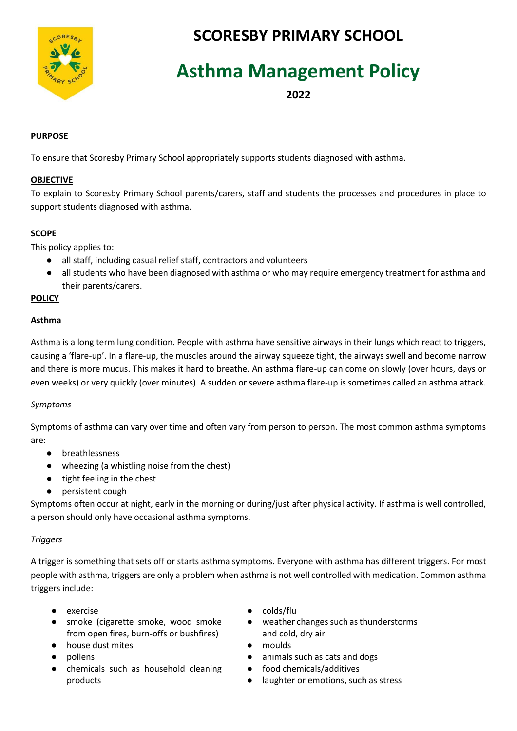

# **SCORESBY PRIMARY SCHOOL**

# **Asthma Management Policy**

**2022**

# **PURPOSE**

To ensure that Scoresby Primary School appropriately supports students diagnosed with asthma.

#### **OBJECTIVE**

To explain to Scoresby Primary School parents/carers, staff and students the processes and procedures in place to support students diagnosed with asthma.

# **SCOPE**

This policy applies to:

- all staff, including casual relief staff, contractors and volunteers
- all students who have been diagnosed with asthma or who may require emergency treatment for asthma and their parents/carers.

#### **POLICY**

# **Asthma**

Asthma is a long term lung condition. People with asthma have sensitive airways in their lungs which react to triggers, causing a 'flare-up'. In a flare-up, the muscles around the airway squeeze tight, the airways swell and become narrow and there is more mucus. This makes it hard to breathe. An asthma flare-up can come on slowly (over hours, days or even weeks) or very quickly (over minutes). A sudden or severe asthma flare-up is sometimes called an asthma attack.

# *Symptoms*

Symptoms of asthma can vary over time and often vary from person to person. The most common asthma symptoms are:

- breathlessness
- wheezing (a whistling noise from the chest)
- tight feeling in the chest
- persistent cough

Symptoms often occur at night, early in the morning or during/just after physical activity. If asthma is well controlled, a person should only have occasional asthma symptoms.

# *Triggers*

A trigger is something that sets off or starts asthma symptoms. Everyone with asthma has different triggers. For most people with asthma, triggers are only a problem when asthma is not well controlled with medication. Common asthma triggers include:

- 
- smoke (cigarette smoke, wood smoke from open fires, burn-offs or bushfires)
- house dust mites moulds
- 
- chemicals such as household cleaning products
- exercise colds/flu
	- weather changes such as thunderstorms and cold, dry air
	-
- pollens animals such as cats and dogs
	- food chemicals/additives
	- laughter or emotions, such as stress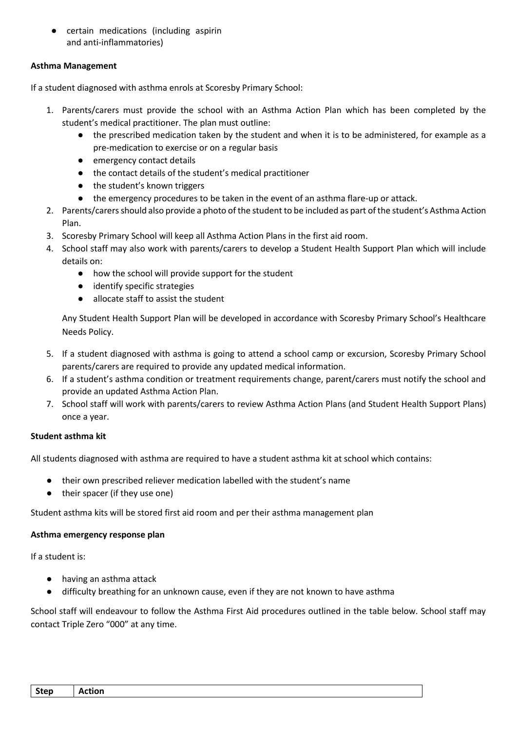● certain medications (including aspirin and anti-inflammatories)

# **Asthma Management**

If a student diagnosed with asthma enrols at Scoresby Primary School:

- 1. Parents/carers must provide the school with an Asthma Action Plan which has been completed by the student's medical practitioner. The plan must outline:
	- the prescribed medication taken by the student and when it is to be administered, for example as a pre-medication to exercise or on a regular basis
	- emergency contact details
	- the contact details of the student's medical practitioner
	- the student's known triggers
	- the emergency procedures to be taken in the event of an asthma flare-up or attack.
- 2. Parents/carers should also provide a photo of the student to be included as part of the student's Asthma Action Plan.
- 3. Scoresby Primary School will keep all Asthma Action Plans in the first aid room.
- 4. School staff may also work with parents/carers to develop a Student Health Support Plan which will include details on:
	- how the school will provide support for the student
	- identify specific strategies
	- allocate staff to assist the student

Any Student Health Support Plan will be developed in accordance with Scoresby Primary School's Healthcare Needs Policy.

- 5. If a student diagnosed with asthma is going to attend a school camp or excursion, Scoresby Primary School parents/carers are required to provide any updated medical information.
- 6. If a student's asthma condition or treatment requirements change, parent/carers must notify the school and provide an updated Asthma Action Plan.
- 7. School staff will work with parents/carers to review Asthma Action Plans (and Student Health Support Plans) once a year.

# **Student asthma kit**

All students diagnosed with asthma are required to have a student asthma kit at school which contains:

- their own prescribed reliever medication labelled with the student's name
- their spacer (if they use one)

Student asthma kits will be stored first aid room and per their asthma management plan

# **Asthma emergency response plan**

If a student is:

- having an asthma attack
- difficulty breathing for an unknown cause, even if they are not known to have asthma

School staff will endeavour to follow the Asthma First Aid procedures outlined in the table below. School staff may contact Triple Zero "000" at any time.

| Step | - -<br>ction<br>$\mathbf{v}$ |
|------|------------------------------|
|------|------------------------------|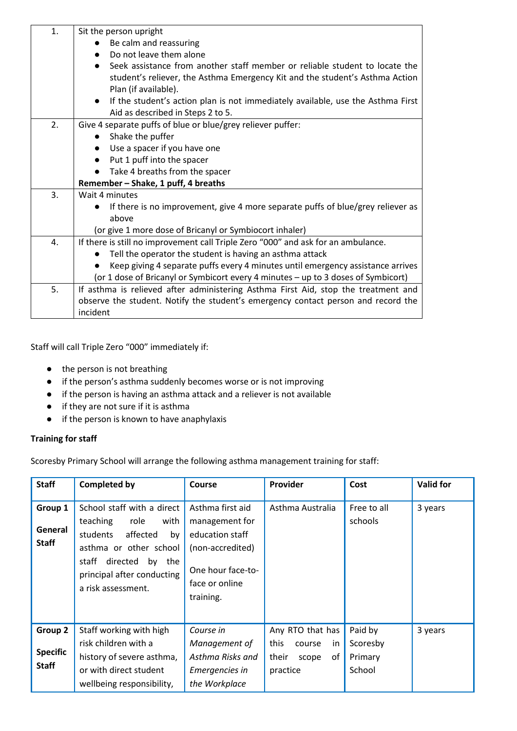| 1. | Sit the person upright                                                             |  |  |  |
|----|------------------------------------------------------------------------------------|--|--|--|
|    | Be calm and reassuring                                                             |  |  |  |
|    | Do not leave them alone                                                            |  |  |  |
|    | Seek assistance from another staff member or reliable student to locate the        |  |  |  |
|    | student's reliever, the Asthma Emergency Kit and the student's Asthma Action       |  |  |  |
|    | Plan (if available).                                                               |  |  |  |
|    | If the student's action plan is not immediately available, use the Asthma First    |  |  |  |
|    | Aid as described in Steps 2 to 5.                                                  |  |  |  |
| 2. | Give 4 separate puffs of blue or blue/grey reliever puffer:                        |  |  |  |
|    | Shake the puffer                                                                   |  |  |  |
|    | Use a spacer if you have one                                                       |  |  |  |
|    | Put 1 puff into the spacer                                                         |  |  |  |
|    | Take 4 breaths from the spacer                                                     |  |  |  |
|    | Remember - Shake, 1 puff, 4 breaths                                                |  |  |  |
| 3. | Wait 4 minutes                                                                     |  |  |  |
|    | If there is no improvement, give 4 more separate puffs of blue/grey reliever as    |  |  |  |
|    | above                                                                              |  |  |  |
|    | (or give 1 more dose of Bricanyl or Symbiocort inhaler)                            |  |  |  |
| 4. | If there is still no improvement call Triple Zero "000" and ask for an ambulance.  |  |  |  |
|    | Tell the operator the student is having an asthma attack                           |  |  |  |
|    | Keep giving 4 separate puffs every 4 minutes until emergency assistance arrives    |  |  |  |
|    | (or 1 dose of Bricanyl or Symbicort every 4 minutes - up to 3 doses of Symbicort)  |  |  |  |
| 5. | If asthma is relieved after administering Asthma First Aid, stop the treatment and |  |  |  |
|    | observe the student. Notify the student's emergency contact person and record the  |  |  |  |
|    | incident                                                                           |  |  |  |

Staff will call Triple Zero "000" immediately if:

- the person is not breathing
- if the person's asthma suddenly becomes worse or is not improving
- if the person is having an asthma attack and a reliever is not available
- if they are not sure if it is asthma
- if the person is known to have anaphylaxis

# **Training for staff**

Scoresby Primary School will arrange the following asthma management training for staff:

| <b>Staff</b>                               | <b>Completed by</b>                                                                                                                                                                               | Course                                                                                                                        | Provider                                                                      | Cost                                     | <b>Valid for</b> |
|--------------------------------------------|---------------------------------------------------------------------------------------------------------------------------------------------------------------------------------------------------|-------------------------------------------------------------------------------------------------------------------------------|-------------------------------------------------------------------------------|------------------------------------------|------------------|
| Group 1<br>General<br><b>Staff</b>         | School staff with a direct<br>teaching<br>role<br>with<br>affected<br>students<br>by<br>asthma or other school<br>directed<br>staff<br>by the<br>principal after conducting<br>a risk assessment. | Asthma first aid<br>management for<br>education staff<br>(non-accredited)<br>One hour face-to-<br>face or online<br>training. | Asthma Australia                                                              | Free to all<br>schools                   | 3 years          |
| Group 2<br><b>Specific</b><br><b>Staff</b> | Staff working with high<br>risk children with a<br>history of severe asthma,<br>or with direct student<br>wellbeing responsibility,                                                               | Course in<br>Management of<br>Asthma Risks and<br>Emergencies in<br>the Workplace                                             | Any RTO that has<br>this<br>course<br>in.<br>their<br>of<br>scope<br>practice | Paid by<br>Scoresby<br>Primary<br>School | 3 years          |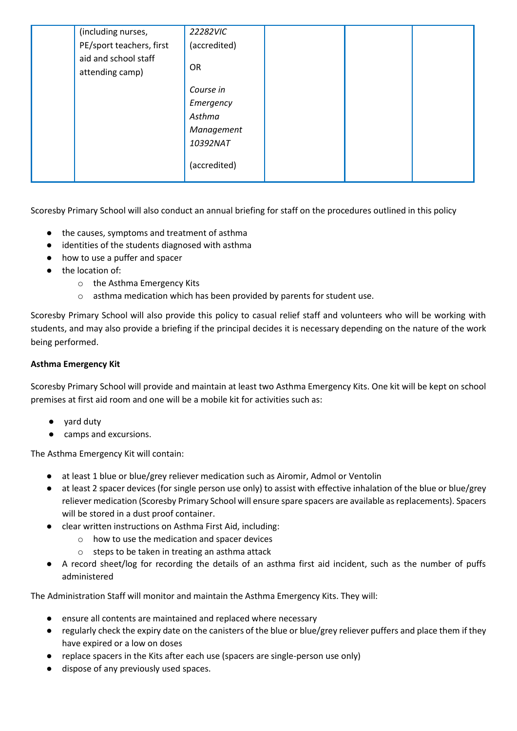| (including nurses,                      | 22282VIC     |  |  |
|-----------------------------------------|--------------|--|--|
| PE/sport teachers, first                | (accredited) |  |  |
| aid and school staff<br>attending camp) | <b>OR</b>    |  |  |
|                                         | Course in    |  |  |
|                                         | Emergency    |  |  |
|                                         | Asthma       |  |  |
|                                         | Management   |  |  |
|                                         | 10392NAT     |  |  |
|                                         | (accredited) |  |  |

Scoresby Primary School will also conduct an annual briefing for staff on the procedures outlined in this policy

- the causes, symptoms and treatment of asthma
- identities of the students diagnosed with asthma
- how to use a puffer and spacer
- the location of:
	- o the Asthma Emergency Kits
	- o asthma medication which has been provided by parents for student use.

Scoresby Primary School will also provide this policy to casual relief staff and volunteers who will be working with students, and may also provide a briefing if the principal decides it is necessary depending on the nature of the work being performed.

# **Asthma Emergency Kit**

Scoresby Primary School will provide and maintain at least two Asthma Emergency Kits. One kit will be kept on school premises at first aid room and one will be a mobile kit for activities such as:

- yard duty
- camps and excursions.

The Asthma Emergency Kit will contain:

- at least 1 blue or blue/grey reliever medication such as Airomir, Admol or Ventolin
- at least 2 spacer devices (for single person use only) to assist with effective inhalation of the blue or blue/grey reliever medication (Scoresby Primary School will ensure spare spacers are available as replacements). Spacers will be stored in a dust proof container.
- clear written instructions on Asthma First Aid, including:
	- o how to use the medication and spacer devices
	- o steps to be taken in treating an asthma attack
- A record sheet/log for recording the details of an asthma first aid incident, such as the number of puffs administered

The Administration Staff will monitor and maintain the Asthma Emergency Kits. They will:

- ensure all contents are maintained and replaced where necessary
- regularly check the expiry date on the canisters of the blue or blue/grey reliever puffers and place them if they have expired or a low on doses
- replace spacers in the Kits after each use (spacers are single-person use only)
- dispose of any previously used spaces.